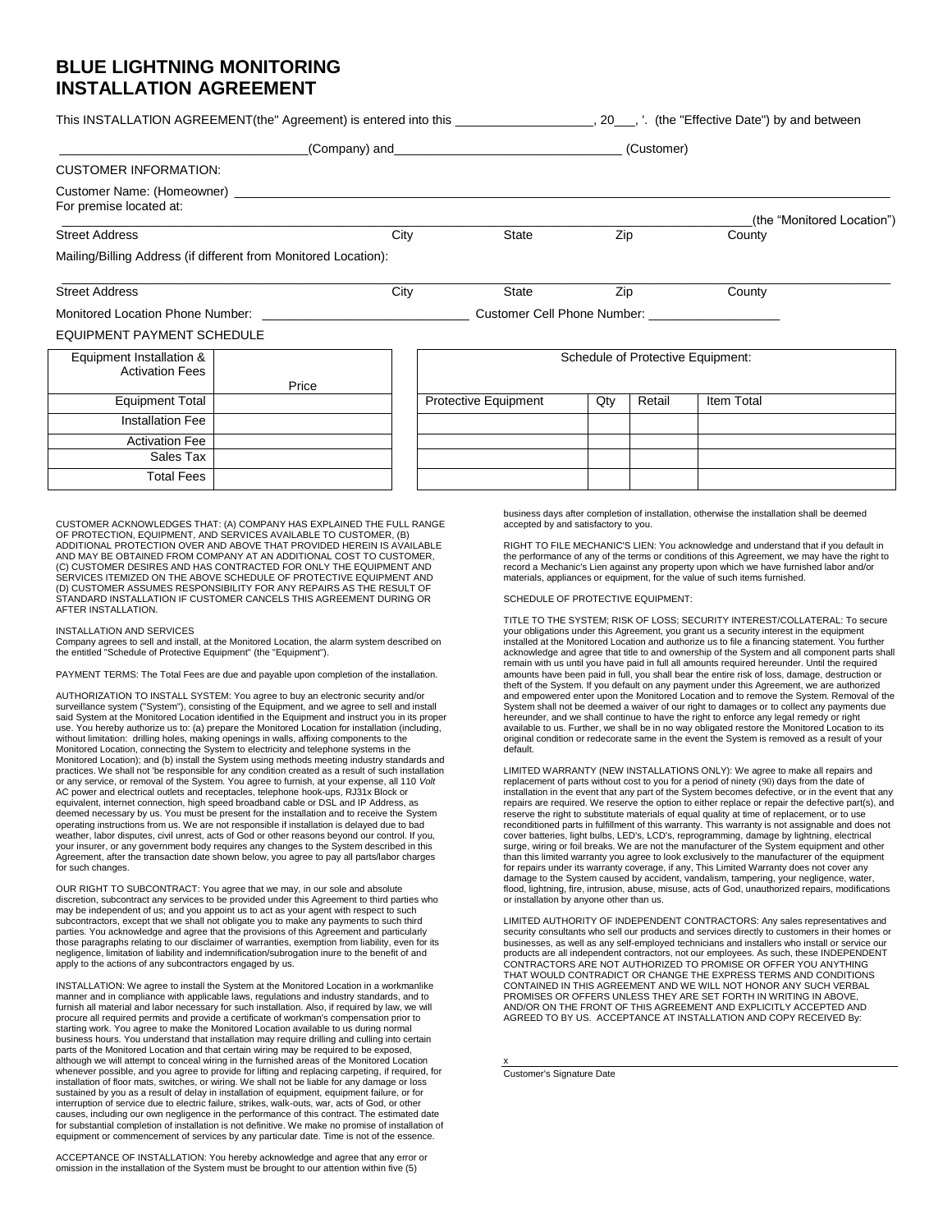## **BLUE LIGHTNING MONITORING INSTALLATION AGREEMENT**

|                                                                 |       |      | $( Company)$ and $( Company)$<br>(Customer) |     |        |                            |  |
|-----------------------------------------------------------------|-------|------|---------------------------------------------|-----|--------|----------------------------|--|
| <b>CUSTOMER INFORMATION:</b>                                    |       |      |                                             |     |        |                            |  |
| For premise located at:                                         |       |      |                                             |     |        | (the "Monitored Location") |  |
| <b>Street Address</b>                                           |       | City | <b>State</b>                                | Zip |        | County                     |  |
| Mailing/Billing Address (if different from Monitored Location): |       |      |                                             |     |        |                            |  |
| <b>Street Address</b>                                           |       | City | State                                       | Zip |        | County                     |  |
| Monitored Location Phone Number:                                |       |      | Customer Cell Phone Number:                 |     |        |                            |  |
| EQUIPMENT PAYMENT SCHEDULE                                      |       |      |                                             |     |        |                            |  |
| Equipment Installation &<br><b>Activation Fees</b>              | Price |      | Schedule of Protective Equipment:           |     |        |                            |  |
| <b>Equipment Total</b>                                          |       |      | Protective Equipment                        | Qty | Retail | <b>Item Total</b>          |  |
| <b>Installation Fee</b>                                         |       |      |                                             |     |        |                            |  |
| <b>Activation Fee</b>                                           |       |      |                                             |     |        |                            |  |

CUSTOMER ACKNOWLEDGES THAT: (A) COMPANY HAS EXPLAINED THE FULL RANGE OF PROTECTION, EQUIPMENT, AND SERVICES AVAlLABLE TO CUSTOMER, (B) ADDITIONAL PROTECTION OVER AND ABOVE THAT PROVIDED HEREIN IS AVAILABLE<br>AND MAY BE OBTAINED FROM COMPANY AT AN ADDITIONAL COST TO CUSTOMER,<br>(C) CUSTOMER DESIRES AND HAS CONTRACTED FOR ONLY THE EQUIPMENT AND SERVICES ITEMIZED ON THE ABOVE SCHEDULE OF PROTECTIVE EQUIPMENT AND (D) CUSTOMER ASSUMES RESPONSIBILITY FOR ANY REPAIRS AS THE RESULT OF STANDARD INSTALLATION IF CUSTOMER CANCELS THIS AGREEMENT DURING OR AFTER INSTALLATION.

## INSTALLATION AND SERVICES

Sales Tax Total Fees

Company agrees to sell and install, at the Monitored Location, the alarm system described on the entitled "Schedule of Protective Equipment" (the "Equipment").

PAYMENT TERMS: The Total Fees are due and payable upon completion of the installation.

AUTHORIZATION TO INSTALL SYSTEM: You agree to buy an electronic security and/or surveillance system ("System"), consisting of the Equipment, and we agree to sell and install said System at the Monitored Location identified in the Equipment and instruct you in its proper use. You hereby authorize us to: (a) prepare the Monitored Location for installation (including, without limitation: drilling holes, making openings in walls, affixing components to the Monitored Location, connecting the System to electricity and telephone systems in the Monitored Location); and (b) install the System using methods meeting industry standards and practices. We shall not 'be responsible for any condition created as a result of such installation<br>or any service, or removal of the System. You agree to furnish, at your expense, all 110 *Volt*<br>AC power and electrical out equivalent, internet connection, high speed broadband cable or DSL and IP Address, as deemed necessary by us. You must be present for the installation and to receive the System operating instructions from us. We are not responsible if installation is delayed due to bad weather, labor disputes, civil unrest, acts of God or other reasons beyond our control. If you, your insurer, or any government body requires any changes to the System described in this Agreement, after the transaction date shown below, you agree to pay all parts/labor charges for such changes.

OUR RIGHT TO SUBCONTRACT: You agree that we may, in our sole and absolute discretion, subcontract any services to be provided under this Agreement to third parties who may be independent of us; and you appoint us to act as your agent with respect to such subcontractors, except that we shall not obligate you to make any payments to such third parties. You acknowledge and agree that the provisions of this Agreement and particularly those paragraphs relating to our disclaimer of warranties, exemption from liability, even for its negligence, limitation of liability and indemnification/subrogation inure to the benefit of and apply to the actions of any subcontractors engaged by us.

INSTALLATION: We agree to install the System at the Monitored Location in a workmanlike manner and in compliance with applicable laws, regulations and industry standards, and to furnish all material and labor necessary for such installation. Also, if required by law, we will procure all required permits and provide a certificate of workman's compensation prior to starting work. You agree to make the Monitored Location available to us during normal business hours. You understand that installation may require drilling and culling into certain parts of the Monitored Location and that certain wiring may be required to be exposed, although we will attempt to conceal wiring in the furnished areas of the Monitored Location whenever possible, and you agree to provide for lifting and replacing carpeting, if required, for installation of floor mats, switches, or wiring. We shall not be liable for any damage or loss sustained by you as a result of delay in installation of equipment, equipment failure, or for interruption of service due to electric failure, strikes, walk-outs, war, acts of God, or other causes, including our own negligence in the performance of this contract. The estimated date for substantial completion of installation is not definitive. We make no promise of installation of equipment or commencement of services by any particular date. Time is not of the essence.

ACCEPTANCE OF INSTALLATION: You hereby acknowledge and agree that any error or omission in the installation of the System must be brought to our attention within five (5)

business days after completion of installation, otherwise the installation shall be deemed accepted by and satisfactory to you.

RIGHT TO FILE MECHANIC'S LIEN: You acknowledge and understand that if you default in the performance of any of the terms or conditions of this Agreement, we may have the right to record a Mechanic's Lien against any property upon which we have furnished labor and/or materials, appliances or equipment, for the value of such items furnished.

SCHEDULE OF PROTECTIVE EQUIPMENT:

TITLE TO THE SYSTEM; RISK OF LOSS; SECURITY INTEREST/COLLATERAL: To secure your obligations under this Agreement, you grant us a security interest in the equipment installed at the Monitored Location and authorize us to file a financing statement. You further acknowledge and agree that title to and ownership of the System and all component parts shall remain with us until you have paid in full all amounts required hereunder. Until the required amounts have been paid in full, you shall bear the entire risk of loss, damage, destruction or theft of the System. If you default on any payment under this Agreement, we are authorized and empowered enter upon the Monitored Location and to remove the System. Removal of the System shall not be deemed a waiver of our right to damages or to collect any payments due hereunder, and we shall continue to have the right to enforce any legal remedy or right available to us. Further, we shall be in no way obligated restore the Monitored Location to its original condition or redecorate same in the event the System is removed as a result of your default.

LIMITED WARRANTY (NEW INSTALLATIONS ONLY): We agree to make all repairs and replacement of parts without cost to you for a period of ninety (90) days from the date of installation in the event that any part of the System becomes defective, or in the event that any repairs are required. We reserve the option to either replace or repair the defective part(s), and reserve the right to substitute materials of equal quality at time of replacement, or to use reconditioned parts in fulfillment of this warranty. This warranty is not assignable and does not cover batteries, light bulbs, LED's, LCD's, reprogramming, damage by lightning, electrical surge, wiring or foil breaks. We are not the manufacturer of the System equipment and other than this limited warranty you agree to look exclusively to the manufacturer of the equipment for repairs under its warranty coverage, if any, This Limited Warranty does not cover any damage to the System caused by accident, vandalism, tampering, your negligence, water flood, lightning, fire, intrusion, abuse, misuse, acts of God, unauthorized repairs, modifications or installation by anyone other than us.

LIMITED AUTHORITY OF INDEPENDENT CONTRACTORS: Any sales representatives and security consultants who sell our products and services directly to customers in their homes or businesses, as well as any self-employed technicians and installers who install or service our products are all independent contractors, not our employees. As such, these INDEPENDENT CONTRACTORS ARE NOT AUTHORIZED TO PROMISE OR OFFER YOU ANYTHING THAT WOULD CONTRADICT OR CHANGE THE EXPRESS TERMS AND CONDITIONS CONTAINED IN THIS AGREEMENT AND WE WILL NOT HONOR ANY SUCH VERBAL PROMISES OR OFFERS UNLESS THEY ARE SET FORTH IN WRITING IN ABOVE, AND/OR ON THE FRONT OF THIS AGREEMENT AND EXPLICITLY ACCEPTED AND AGREED TO BY US. ACCEPTANCE AT INSTALLATION AND COPY RECEIVED By:

x Customer's Signature Date